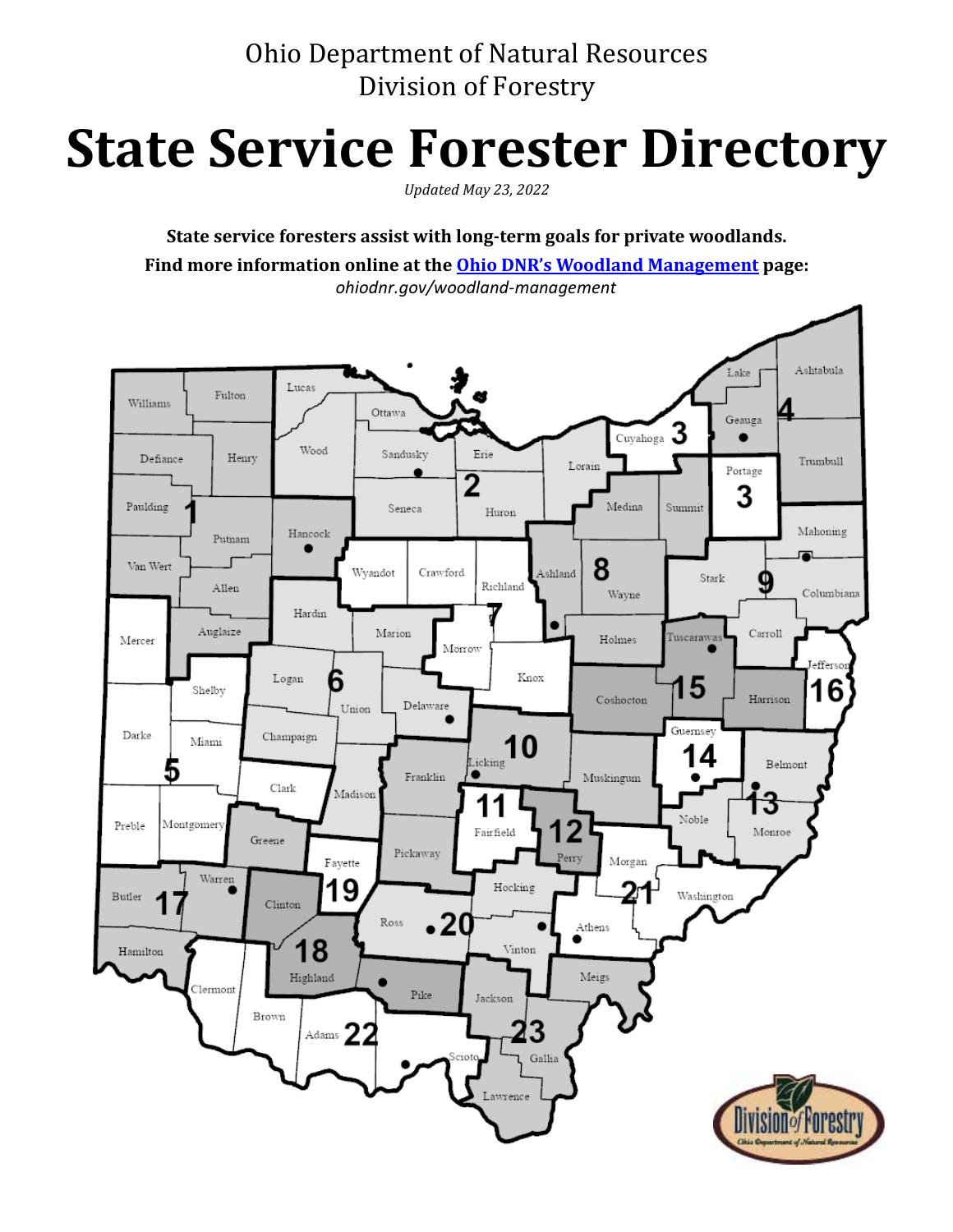## Ohio Department of Natural Resources Division of Forestry

## **State Service Forester Directory**

*Updated May 23, 2022*

**State service foresters assist with long-term goals for private woodlands. Find more information online at the [Ohio DNR's Woodland Management](https://ohiodnr.gov/wps/portal/gov/odnr/discover-and-learn/safety-conservation/woodland-management) page:** *ohiodnr.gov/woodland-management*